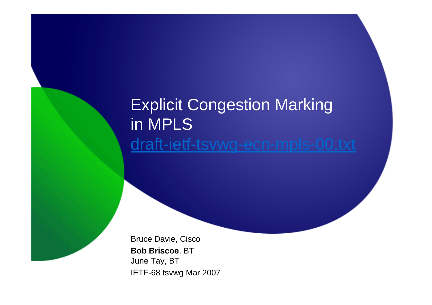## Explicit Congestion Markingin MPLSdraft-ietf-tsvwg-ecn-mpls-00.txt

Bruce Davie, Cisco**Bob Briscoe**, BTJune Tay, BTIETF-68 tsvwg Mar 2007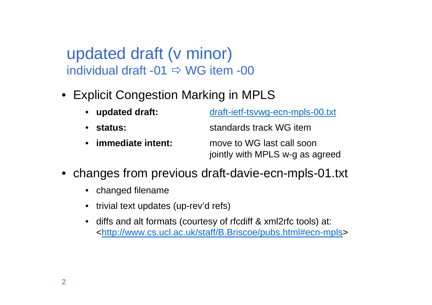updated draft (v minor)individual draft -01  $\Rightarrow$  WG item -00

- Explicit Congestion Marking in MPLS
	- updated draft: **updated draft:** draft-ietf-tsvwg-ecn-mpls-00.txt
	- status: standards track WG item
	- immediate intent: move to WG last call soon jointly with MPLS w-g as agreed
- changes from previous draft-davie-ecn-mpls-01.txt
	- changed filename
	- trivial text updates (up-rev'd refs)
	- • diffs and alt formats (courtesy of rfcdiff & xml2rfc tools) at: <http://www.cs.ucl.ac.uk/staff/B.Briscoe/pubs.html#ecn-mpls>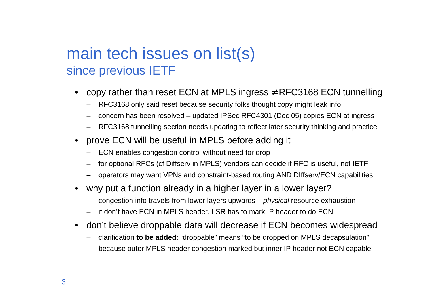## main tech issues on list(s)since previous IETF

- •copy rather than reset ECN at MPLS ingress  $\neq$  RFC3168 ECN tunnelling
	- RFC3168 only said reset because security folks thought copy might leak info
	- concern has been resolved updated IPSec RFC4301 (Dec 05) copies ECN at ingress
	- RFC3168 tunnelling section needs updating to reflect later security thinking and practice
- • prove ECN will be useful in MPLS before adding it
	- ECN enables congestion control without need for drop
	- for optional RFCs (cf Diffserv in MPLS) vendors can decide if RFC is useful, not IETF
	- operators may want VPNs and constraint-based routing AND DIffserv/ECN capabilities
- •why put a function already in a higher layer in a lower layer?
	- congestion info travels from lower layers upwards physical resource exhaustion
	- if don't have ECN in MPLS header, LSR has to mark IP header to do ECN
- • don't believe droppable data will decrease if ECN becomes widespread
	- clarification **to be added**: "droppable" means "to be dropped on MPLS decapsulation" because outer MPLS header congestion marked but inner IP header not ECN capable